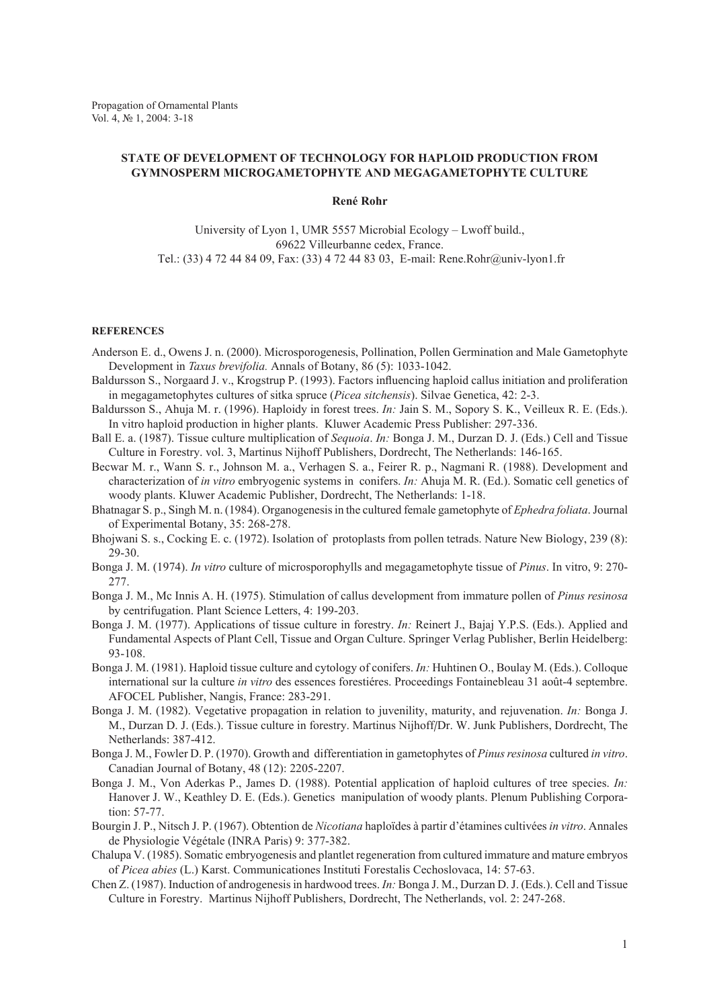## **STATE OF DEVELOPMENT OF TECHNOLOGY FOR HAPLOID PRODUCTION FROM GYMNOSPERM MICROGAMETOPHYTE AND MEGAGAMETOPHYTE CULTURe**

## **René Rohr**

University of Lyon 1, UMR 5557 Microbial Ecology – Lwoff build., 69622 Villeurbanne cedex, France. Tel.: (33) 4 72 44 84 09, Fax: (33) 4 72 44 83 03, E-mail: Rene.Rohr@univ-lyon1.fr

## **REFERENCEs**

- Anderson E. d., Owens J. n. (2000). Microsporogenesis, Pollination, Pollen Germination and Male Gametophyte Development in *Taxus brevifolia.* Annals of Botany, 86 (5): 1033-1042.
- Baldursson S., Norgaard J. v., Krogstrup P. (1993). Factors influencing haploid callus initiation and proliferation in megagametophytes cultures of sitka spruce (*Picea sitchensis*). Silvae Genetica, 42: 2-3.
- Baldursson S., Ahuja M. r. (1996). Haploidy in forest trees. *In:* Jain S. M., Sopory S. K., Veilleux R. E. (Eds.). In vitro haploid production in higher plants. Kluwer Academic Press Publisher: 297-336.
- Ball E. a. (1987). Tissue culture multiplication of *Sequoia*. *In:* Bonga J. M., Durzan D. J. (Eds.) Cell and Tissue Culture in Forestry. vol. 3, Martinus Nijhoff Publishers, Dordrecht, The Netherlands: 146-165.
- Becwar M. r., Wann S. r., Johnson M. a., Verhagen S. a., Feirer R. p., Nagmani R. (1988). Development and characterization of *in vitro* embryogenic systems in conifers. *In:* Ahuja M. R. (Ed.). Somatic cell genetics of woody plants. Kluwer Academic Publisher, Dordrecht, The Netherlands: 1-18.
- Bhatnagar S. p., Singh M. n. (1984). Organogenesis in the cultured female gametophyte of *Ephedra foliata*. Journal of Experimental Botany, 35: 268-278.
- Bhojwani S. s., Cocking E. c. (1972). Isolation of protoplasts from pollen tetrads. Nature New Biology, 239 (8): 29-30.
- Bonga J. M. (1974). *In vitro* culture of microsporophylls and megagametophyte tissue of *Pinus*. In vitro, 9: 270- 277.
- Bonga J. M., Mc Innis A. H. (1975). Stimulation of callus development from immature pollen of *Pinus resinosa* by centrifugation. Plant Science Letters, 4: 199-203.
- Bonga J. M. (1977). Applications of tissue culture in forestry. *In:* Reinert J., Bajaj Y.P.S. (Eds.). Applied and Fundamental Aspects of Plant Cell, Tissue and Organ Culture. Springer Verlag Publisher, Berlin Heidelberg: 93-108.
- Bonga J. M. (1981). Haploid tissue culture and cytology of conifers. *In:* Huhtinen O., Boulay M. (Eds.). Colloque international sur la culture *in vitro* des essences forestiéres. Proceedings Fontainebleau 31 août-4 septembre. AFOCEL Publisher, Nangis, France: 283-291.
- Bonga J. M. (1982). Vegetative propagation in relation to juvenility, maturity, and rejuvenation. *In:* Bonga J. M., Durzan D. J. (Eds.). Tissue culture in forestry. Martinus Nijhoff/Dr. W. Junk Publishers, Dordrecht, The Netherlands: 387-412.
- Bonga J. M., Fowler D. P. (1970). Growth and differentiation in gametophytes of *Pinus resinosa* cultured *in vitro*. Canadian Journal of Botany, 48 (12): 2205-2207.
- Bonga J. M., Von Aderkas P., James D. (1988). Potential application of haploid cultures of tree species. *In:*  Hanover J. W., Keathley D. E. (Eds.). Genetics manipulation of woody plants. Plenum Publishing Corporation: 57-77.
- Bourgin J. P., Nitsch J. P. (1967). Obtention de *Nicotiana* haploïdes à partir d'étamines cultivées *in vitro*. Annales de Physiologie Végétale (INRA Paris) 9: 377-382.
- Chalupa V. (1985). Somatic embryogenesis and plantlet regeneration from cultured immature and mature embryos of *Picea abies* (L.) Karst. Communicationes Instituti Forestalis Cechoslovaca, 14: 57-63.
- Chen Z. (1987). Induction of androgenesis in hardwood trees. *In:* Bonga J. M., Durzan D. J. (Eds.). Cell and Tissue Culture in Forestry. Martinus Nijhoff Publishers, Dordrecht, The Netherlands, vol. 2: 247-268.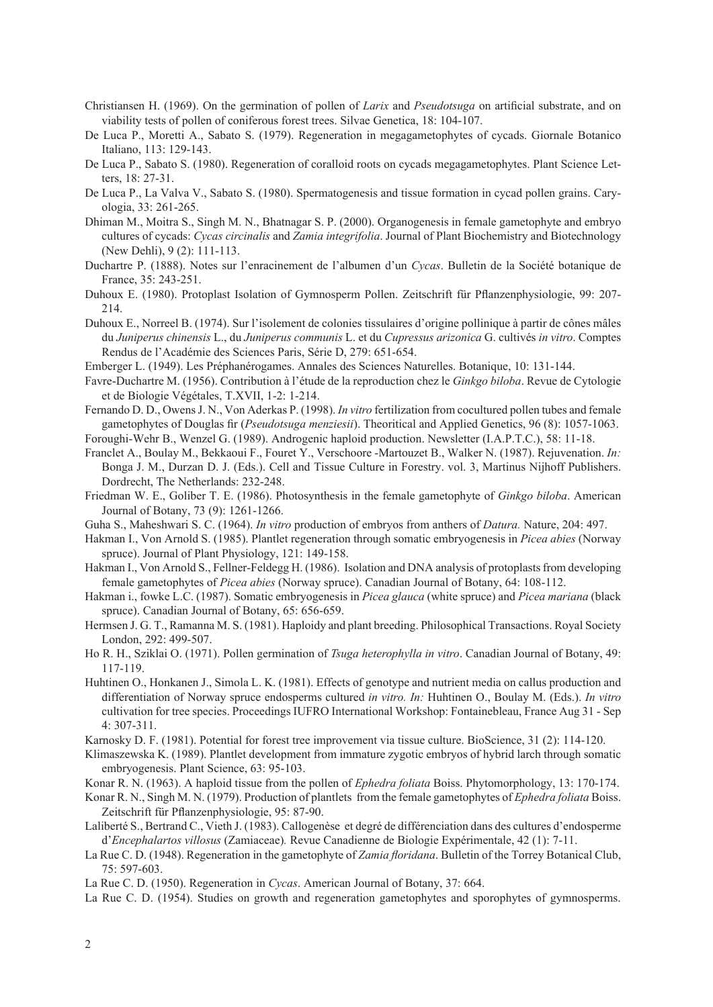- Christiansen H. (1969). On the germination of pollen of *Larix* and *Pseudotsuga* on artificial substrate, and on viability tests of pollen of coniferous forest trees. Silvae Genetica, 18: 104-107.
- De Luca P., Moretti A., Sabato S. (1979). Regeneration in megagametophytes of cycads. Giornale Botanico Italiano, 113: 129-143.
- De Luca P., Sabato S. (1980). Regeneration of coralloid roots on cycads megagametophytes. Plant Science Letters, 18: 27-31.
- De Luca P., La Valva V., Sabato S. (1980). Spermatogenesis and tissue formation in cycad pollen grains. Caryologia, 33: 261-265.
- Dhiman M., Moitra S., Singh M. N., Bhatnagar S. P. (2000). Organogenesis in female gametophyte and embryo cultures of cycads: *Cycas circinalis* and *Zamia integrifolia*. Journal of Plant Biochemistry and Biotechnology (New Dehli), 9 (2): 111-113.
- Duchartre P. (1888). Notes sur l'enracinement de l'albumen d'un *Cycas*. Bulletin de la Société botanique de France, 35: 243-251.
- Duhoux E. (1980). Protoplast Isolation of Gymnosperm Pollen. Zeitschrift für Pflanzenphysiologie, 99: 207- 214.
- Duhoux E., Norreel B. (1974). Sur l'isolement de colonies tissulaires d'origine pollinique à partir de cônes mâles du *Juniperus chinensis* L., du *Juniperus communis* L. et du *Cupressus arizonica* G. cultivés *in vitro*. Comptes Rendus de l'Académie des Sciences Paris, Série D, 279: 651-654.
- Emberger L. (1949). Les Préphanérogames. Annales des Sciences Naturelles. Botanique, 10: 131-144.
- Favre-Duchartre M. (1956). Contribution à l'étude de la reproduction chez le *Ginkgo biloba*. Revue de Cytologie et de Biologie Végétales, T.XVII, 1-2: 1-214.
- Fernando D. D., Owens J. N., Von Aderkas P. (1998). *In vitro* fertilization from cocultured pollen tubes and female gametophytes of Douglas fir (*Pseudotsuga menziesii*). Theoritical and Applied Genetics, 96 (8): 1057-1063.
- Foroughi-Wehr B., Wenzel G. (1989). Androgenic haploid production. Newsletter (I.A.P.T.C.), 58: 11-18.
- Franclet A., Boulay M., Bekkaoui F., Fouret Y., Verschoore -Martouzet B., Walker N. (1987). Rejuvenation. *In:* Bonga J. M., Durzan D. J. (Eds.). Cell and Tissue Culture in Forestry. vol. 3, Martinus Nijhoff Publishers. Dordrecht, The Netherlands: 232-248.
- Friedman W. E., Goliber T. E. (1986). Photosynthesis in the female gametophyte of *Ginkgo biloba*. American Journal of Botany, 73 (9): 1261-1266.
- Guha S., Maheshwari S. C. (1964). *In vitro* production of embryos from anthers of *Datura.* Nature, 204: 497.
- Hakman I., Von Arnold S. (1985). Plantlet regeneration through somatic embryogenesis in *Picea abies* (Norway spruce). Journal of Plant Physiology, 121: 149-158.
- Hakman I., Von Arnold S., Fellner-Feldegg H. (1986). Isolation and DNA analysis of protoplasts from developing female gametophytes of *Picea abies* (Norway spruce). Canadian Journal of Botany, 64: 108-112.
- Hakman i., fowke L.C. (1987). Somatic embryogenesis in *Picea glauca* (white spruce) and *Picea mariana* (black spruce). Canadian Journal of Botany, 65: 656-659.
- Hermsen J. G. T., Ramanna M. S. (1981). Haploidy and plant breeding. Philosophical Transactions. Royal Society London, 292: 499-507.
- Ho R. H., Sziklai O. (1971). Pollen germination of *Tsuga heterophylla in vitro*. Canadian Journal of Botany, 49: 117-119.
- Huhtinen O., Honkanen J., Simola L. K. (1981). Effects of genotype and nutrient media on callus production and differentiation of Norway spruce endosperms cultured *in vitro. In:* Huhtinen O., Boulay M. (Eds.). *In vitro* cultivation for tree species. Proceedings IUFRO International Workshop: Fontainebleau, France Aug 31 - Sep 4: 307-311.
- Karnosky D. F. (1981). Potential for forest tree improvement via tissue culture. BioScience, 31 (2): 114-120.
- Klimaszewska K. (1989). Plantlet development from immature zygotic embryos of hybrid larch through somatic embryogenesis. Plant Science, 63: 95-103.
- Konar R. N. (1963). A haploid tissue from the pollen of *Ephedra foliata* Boiss. Phytomorphology, 13: 170-174.
- Konar R. N., Singh M. N. (1979). Production of plantlets from the female gametophytes of *Ephedra foliata* Boiss. Zeitschrift für Pflanzenphysiologie, 95: 87-90.
- Laliberté S., Bertrand C., Vieth J. (1983). Callogenèse et degré de différenciation dans des cultures d'endosperme d'*Encephalartos villosus* (Zamiaceae)*.* Revue Canadienne de Biologie Expérimentale, 42 (1): 7-11.
- La Rue C. D. (1948). Regeneration in the gametophyte of *Zamia floridana*. Bulletin of the Torrey Botanical Club, 75: 597-603.
- La Rue C. D. (1950). Regeneration in *Cycas*. American Journal of Botany, 37: 664.
- La Rue C. D. (1954). Studies on growth and regeneration gametophytes and sporophytes of gymnosperms.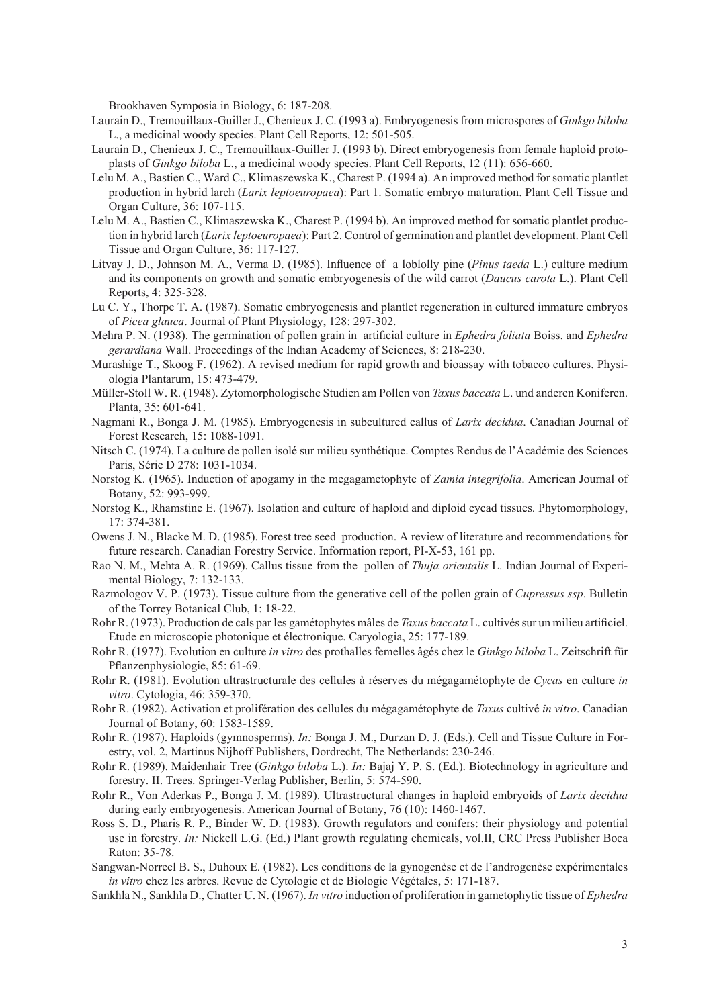Brookhaven Symposia in Biology, 6: 187-208.

- Laurain D., Tremouillaux-Guiller J., Chenieux J. C. (1993 a). Embryogenesis from microspores of *Ginkgo biloba* L., a medicinal woody species. Plant Cell Reports, 12: 501-505.
- Laurain D., Chenieux J. C., Tremouillaux-Guiller J. (1993 b). Direct embryogenesis from female haploid protoplasts of *Ginkgo biloba* L., a medicinal woody species. Plant Cell Reports, 12 (11): 656-660.
- Lelu M. A., Bastien C., Ward C., Klimaszewska K., Charest P. (1994 a). An improved method for somatic plantlet production in hybrid larch (*Larix leptoeuropaea*): Part 1. Somatic embryo maturation. Plant Cell Tissue and Organ Culture, 36: 107-115.
- Lelu M. A., Bastien C., Klimaszewska K., Charest P. (1994 b). An improved method for somatic plantlet production in hybrid larch (*Larix leptoeuropaea*): Part 2. Control of germination and plantlet development. Plant Cell Tissue and Organ Culture, 36: 117-127.
- Litvay J. D., Johnson M. A., Verma D. (1985). Influence of a loblolly pine (*Pinus taeda* L.) culture medium and its components on growth and somatic embryogenesis of the wild carrot (*Daucus carota* L.). Plant Cell Reports, 4: 325-328.
- Lu C. Y., Thorpe T. A. (1987). Somatic embryogenesis and plantlet regeneration in cultured immature embryos of *Picea glauca*. Journal of Plant Physiology, 128: 297-302.
- Mehra P. N. (1938). The germination of pollen grain in artificial culture in *Ephedra foliata* Boiss. and *Ephedra gerardiana* Wall. Proceedings of the Indian Academy of Sciences, 8: 218-230.
- Murashige T., Skoog F. (1962). A revised medium for rapid growth and bioassay with tobacco cultures. Physiologia Plantarum, 15: 473-479.
- Müller-Stoll W. R. (1948). Zytomorphologische Studien am Pollen von *Taxus baccata* L. und anderen Koniferen. Planta, 35: 601-641.
- Nagmani R., Bonga J. M. (1985). Embryogenesis in subcultured callus of *Larix decidua*. Canadian Journal of Forest Research, 15: 1088-1091.
- Nitsch C. (1974). La culture de pollen isolé sur milieu synthétique. Comptes Rendus de l'Académie des Sciences Paris, Série D 278: 1031-1034.
- Norstog K. (1965). Induction of apogamy in the megagametophyte of *Zamia integrifolia*. American Journal of Botany, 52: 993-999.
- Norstog K., Rhamstine E. (1967). Isolation and culture of haploid and diploid cycad tissues. Phytomorphology, 17: 374-381.
- Owens J. N., Blacke M. D. (1985). Forest tree seed production. A review of literature and recommendations for future research. Canadian Forestry Service. Information report, PI-X-53, 161 pp.
- Rao N. M., Mehta A. R. (1969). Callus tissue from the pollen of *Thuja orientalis* L. Indian Journal of Experimental Biology, 7: 132-133.
- Razmologov V. P. (1973). Tissue culture from the generative cell of the pollen grain of *Cupressus ssp*. Bulletin of the Torrey Botanical Club, 1: 18-22.
- Rohr R. (1973). Production de cals par les gamétophytes mâles de *Taxus baccata* L. cultivés sur un milieu artificiel. Etude en microscopie photonique et électronique. Caryologia, 25: 177-189.
- Rohr R. (1977). Evolution en culture *in vitro* des prothalles femelles âgés chez le *Ginkgo biloba* L. Zeitschrift für Pflanzenphysiologie, 85: 61-69.
- Rohr R. (1981). Evolution ultrastructurale des cellules à réserves du mégagamétophyte de *Cycas* en culture *in vitro*. Cytologia, 46: 359-370.
- Rohr R. (1982). Activation et prolifération des cellules du mégagamétophyte de *Taxus* cultivé *in vitro*. Canadian Journal of Botany, 60: 1583-1589.
- Rohr R. (1987). Haploids (gymnosperms). *In:* Bonga J. M., Durzan D. J. (Eds.). Cell and Tissue Culture in Forestry, vol. 2, Martinus Nijhoff Publishers, Dordrecht, The Netherlands: 230-246.
- Rohr R. (1989). Maidenhair Tree (*Ginkgo biloba* L.). *In:* Bajaj Y. P. S. (Ed.). Biotechnology in agriculture and forestry. II. Trees. Springer-Verlag Publisher, Berlin, 5: 574-590.
- Rohr R., Von Aderkas P., Bonga J. M. (1989). Ultrastructural changes in haploid embryoids of *Larix decidua* during early embryogenesis. American Journal of Botany, 76 (10): 1460-1467.
- Ross S. D., Pharis R. P., Binder W. D. (1983). Growth regulators and conifers: their physiology and potential use in forestry. *In:* Nickell L.G. (Ed.) Plant growth regulating chemicals, vol.II, CRC Press Publisher Boca Raton: 35-78.
- Sangwan-Norreel B. S., Duhoux E. (1982). Les conditions de la gynogenèse et de l'androgenèse expérimentales *in vitro* chez les arbres. Revue de Cytologie et de Biologie Végétales, 5: 171-187.
- Sankhla N., Sankhla D., Chatter U. N. (1967). *In vitro* induction of proliferation in gametophytic tissue of *Ephedra*